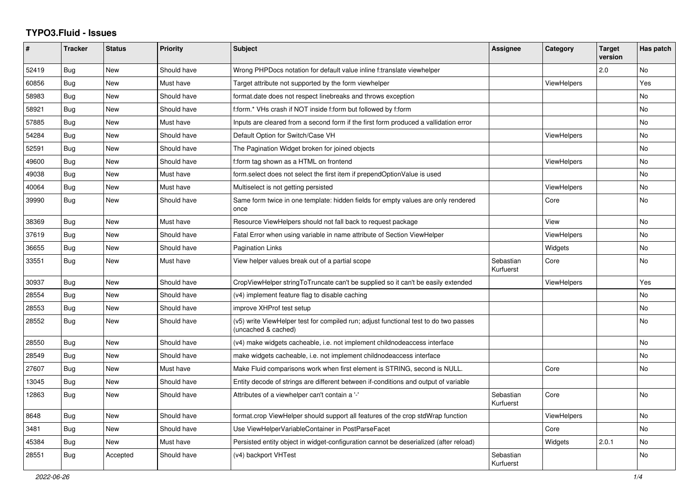## **TYPO3.Fluid - Issues**

| #     | <b>Tracker</b> | <b>Status</b> | <b>Priority</b> | <b>Subject</b>                                                                                              | Assignee               | Category           | <b>Target</b><br>version | Has patch      |
|-------|----------------|---------------|-----------------|-------------------------------------------------------------------------------------------------------------|------------------------|--------------------|--------------------------|----------------|
| 52419 | Bug            | New           | Should have     | Wrong PHPDocs notation for default value inline f:translate viewhelper                                      |                        |                    | 2.0                      | <b>No</b>      |
| 60856 | Bug            | New           | Must have       | Target attribute not supported by the form viewhelper                                                       |                        | <b>ViewHelpers</b> |                          | Yes            |
| 58983 | Bug            | New           | Should have     | format date does not respect linebreaks and throws exception                                                |                        |                    |                          | No             |
| 58921 | <b>Bug</b>     | New           | Should have     | f:form.* VHs crash if NOT inside f:form but followed by f:form                                              |                        |                    |                          | <b>No</b>      |
| 57885 | Bug            | <b>New</b>    | Must have       | Inputs are cleared from a second form if the first form produced a vallidation error                        |                        |                    |                          | <b>No</b>      |
| 54284 | Bug            | New           | Should have     | Default Option for Switch/Case VH                                                                           |                        | <b>ViewHelpers</b> |                          | N <sub>o</sub> |
| 52591 | Bug            | New           | Should have     | The Pagination Widget broken for joined objects                                                             |                        |                    |                          | No             |
| 49600 | <b>Bug</b>     | New           | Should have     | f:form tag shown as a HTML on frontend                                                                      |                        | <b>ViewHelpers</b> |                          | No             |
| 49038 | Bug            | New           | Must have       | form.select does not select the first item if prependOptionValue is used                                    |                        |                    |                          | No             |
| 40064 | Bug            | <b>New</b>    | Must have       | Multiselect is not getting persisted                                                                        |                        | <b>ViewHelpers</b> |                          | No             |
| 39990 | <b>Bug</b>     | New           | Should have     | Same form twice in one template: hidden fields for empty values are only rendered<br>once                   |                        | Core               |                          | <b>No</b>      |
| 38369 | Bug            | New           | Must have       | Resource ViewHelpers should not fall back to request package                                                |                        | View               |                          | <b>No</b>      |
| 37619 | Bug            | New           | Should have     | Fatal Error when using variable in name attribute of Section ViewHelper                                     |                        | <b>ViewHelpers</b> |                          | <b>No</b>      |
| 36655 | <b>Bug</b>     | New           | Should have     | <b>Pagination Links</b>                                                                                     |                        | Widgets            |                          | <b>No</b>      |
| 33551 | Bug            | New           | Must have       | View helper values break out of a partial scope                                                             | Sebastian<br>Kurfuerst | Core               |                          | No             |
| 30937 | Bug            | New           | Should have     | CropViewHelper stringToTruncate can't be supplied so it can't be easily extended                            |                        | ViewHelpers        |                          | Yes            |
| 28554 | Bug            | New           | Should have     | (v4) implement feature flag to disable caching                                                              |                        |                    |                          | No             |
| 28553 | <b>Bug</b>     | New           | Should have     | improve XHProf test setup                                                                                   |                        |                    |                          | <b>No</b>      |
| 28552 | Bug            | New           | Should have     | (v5) write ViewHelper test for compiled run; adjust functional test to do two passes<br>(uncached & cached) |                        |                    |                          | No             |
| 28550 | Bug            | New           | Should have     | (v4) make widgets cacheable, i.e. not implement childnodeaccess interface                                   |                        |                    |                          | <b>No</b>      |
| 28549 | <b>Bug</b>     | New           | Should have     | make widgets cacheable, i.e. not implement childnodeaccess interface                                        |                        |                    |                          | <b>No</b>      |
| 27607 | Bug            | New           | Must have       | Make Fluid comparisons work when first element is STRING, second is NULL.                                   |                        | Core               |                          | No             |
| 13045 | Bug            | New           | Should have     | Entity decode of strings are different between if-conditions and output of variable                         |                        |                    |                          |                |
| 12863 | Bug            | New           | Should have     | Attributes of a viewhelper can't contain a '-'                                                              | Sebastian<br>Kurfuerst | Core               |                          | <b>No</b>      |
| 8648  | <b>Bug</b>     | New           | Should have     | format.crop ViewHelper should support all features of the crop stdWrap function                             |                        | ViewHelpers        |                          | <b>No</b>      |
| 3481  | <b>Bug</b>     | New           | Should have     | Use ViewHelperVariableContainer in PostParseFacet                                                           |                        | Core               |                          | <b>No</b>      |
| 45384 | Bug            | New           | Must have       | Persisted entity object in widget-configuration cannot be deserialized (after reload)                       |                        | Widgets            | 2.0.1                    | <b>No</b>      |
| 28551 | <b>Bug</b>     | Accepted      | Should have     | (v4) backport VHTest                                                                                        | Sebastian<br>Kurfuerst |                    |                          | No             |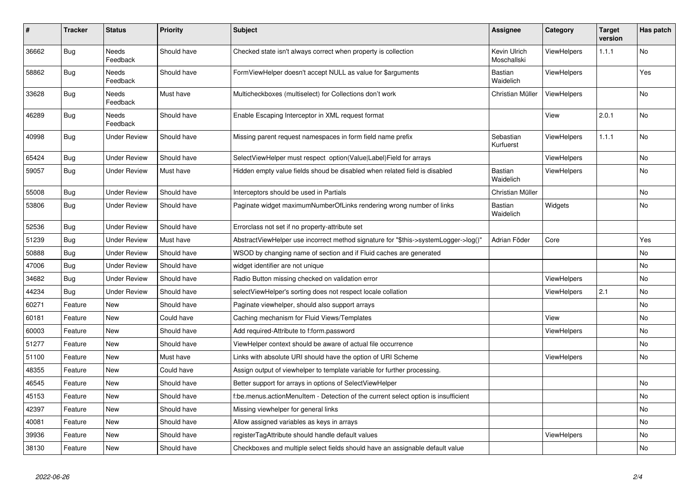| #     | <b>Tracker</b> | <b>Status</b>            | <b>Priority</b> | Subject                                                                             | <b>Assignee</b>             | Category           | <b>Target</b><br>version | Has patch |
|-------|----------------|--------------------------|-----------------|-------------------------------------------------------------------------------------|-----------------------------|--------------------|--------------------------|-----------|
| 36662 | <b>Bug</b>     | <b>Needs</b><br>Feedback | Should have     | Checked state isn't always correct when property is collection                      | Kevin Ulrich<br>Moschallski | <b>ViewHelpers</b> | 1.1.1                    | <b>No</b> |
| 58862 | Bug            | <b>Needs</b><br>Feedback | Should have     | FormViewHelper doesn't accept NULL as value for \$arguments                         | <b>Bastian</b><br>Waidelich | <b>ViewHelpers</b> |                          | Yes       |
| 33628 | Bug            | <b>Needs</b><br>Feedback | Must have       | Multicheckboxes (multiselect) for Collections don't work                            | Christian Müller            | <b>ViewHelpers</b> |                          | <b>No</b> |
| 46289 | Bug            | <b>Needs</b><br>Feedback | Should have     | Enable Escaping Interceptor in XML request format                                   |                             | View               | 2.0.1                    | <b>No</b> |
| 40998 | Bug            | <b>Under Review</b>      | Should have     | Missing parent request namespaces in form field name prefix                         | Sebastian<br>Kurfuerst      | <b>ViewHelpers</b> | 1.1.1                    | <b>No</b> |
| 65424 | <b>Bug</b>     | <b>Under Review</b>      | Should have     | SelectViewHelper must respect option(Value Label)Field for arrays                   |                             | <b>ViewHelpers</b> |                          | No        |
| 59057 | <b>Bug</b>     | <b>Under Review</b>      | Must have       | Hidden empty value fields shoud be disabled when related field is disabled          | Bastian<br>Waidelich        | <b>ViewHelpers</b> |                          | No        |
| 55008 | Bug            | <b>Under Review</b>      | Should have     | Interceptors should be used in Partials                                             | Christian Müller            |                    |                          | No        |
| 53806 | <b>Bug</b>     | <b>Under Review</b>      | Should have     | Paginate widget maximumNumberOfLinks rendering wrong number of links                | Bastian<br>Waidelich        | Widgets            |                          | No        |
| 52536 | Bug            | <b>Under Review</b>      | Should have     | Errorclass not set if no property-attribute set                                     |                             |                    |                          |           |
| 51239 | <b>Bug</b>     | <b>Under Review</b>      | Must have       | AbstractViewHelper use incorrect method signature for "\$this->systemLogger->log()" | Adrian Föder                | Core               |                          | Yes       |
| 50888 | Bug            | <b>Under Review</b>      | Should have     | WSOD by changing name of section and if Fluid caches are generated                  |                             |                    |                          | No        |
| 47006 | Bug            | Under Review             | Should have     | widget identifier are not unique                                                    |                             |                    |                          | No        |
| 34682 | Bug            | <b>Under Review</b>      | Should have     | Radio Button missing checked on validation error                                    |                             | <b>ViewHelpers</b> |                          | No        |
| 44234 | Bug            | <b>Under Review</b>      | Should have     | selectViewHelper's sorting does not respect locale collation                        |                             | ViewHelpers        | 2.1                      | No        |
| 60271 | Feature        | New                      | Should have     | Paginate viewhelper, should also support arrays                                     |                             |                    |                          | No        |
| 60181 | Feature        | New                      | Could have      | Caching mechanism for Fluid Views/Templates                                         |                             | View               |                          | No        |
| 60003 | Feature        | <b>New</b>               | Should have     | Add required-Attribute to f:form.password                                           |                             | <b>ViewHelpers</b> |                          | <b>No</b> |
| 51277 | Feature        | <b>New</b>               | Should have     | ViewHelper context should be aware of actual file occurrence                        |                             |                    |                          | No        |
| 51100 | Feature        | <b>New</b>               | Must have       | Links with absolute URI should have the option of URI Scheme                        |                             | <b>ViewHelpers</b> |                          | <b>No</b> |
| 48355 | Feature        | <b>New</b>               | Could have      | Assign output of viewhelper to template variable for further processing.            |                             |                    |                          |           |
| 46545 | Feature        | New                      | Should have     | Better support for arrays in options of SelectViewHelper                            |                             |                    |                          | <b>No</b> |
| 45153 | Feature        | <b>New</b>               | Should have     | f:be.menus.actionMenuItem - Detection of the current select option is insufficient  |                             |                    |                          | <b>No</b> |
| 42397 | Feature        | New                      | Should have     | Missing viewhelper for general links                                                |                             |                    |                          | <b>No</b> |
| 40081 | Feature        | <b>New</b>               | Should have     | Allow assigned variables as keys in arrays                                          |                             |                    |                          | <b>No</b> |
| 39936 | Feature        | New                      | Should have     | registerTagAttribute should handle default values                                   |                             | ViewHelpers        |                          | No        |
| 38130 | Feature        | New                      | Should have     | Checkboxes and multiple select fields should have an assignable default value       |                             |                    |                          | No        |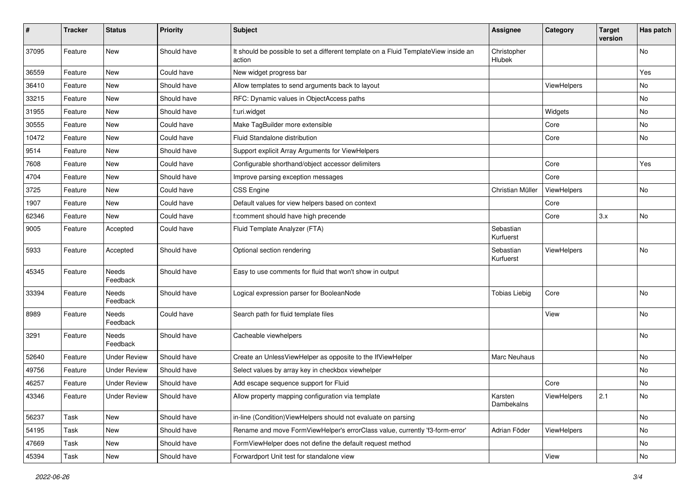| #     | <b>Tracker</b> | <b>Status</b>       | <b>Priority</b> | Subject                                                                                       | <b>Assignee</b>        | Category    | <b>Target</b><br>version | Has patch     |
|-------|----------------|---------------------|-----------------|-----------------------------------------------------------------------------------------------|------------------------|-------------|--------------------------|---------------|
| 37095 | Feature        | New                 | Should have     | It should be possible to set a different template on a Fluid TemplateView inside an<br>action | Christopher<br>Hlubek  |             |                          | No            |
| 36559 | Feature        | New                 | Could have      | New widget progress bar                                                                       |                        |             |                          | Yes           |
| 36410 | Feature        | New                 | Should have     | Allow templates to send arguments back to layout                                              |                        | ViewHelpers |                          | No            |
| 33215 | Feature        | New                 | Should have     | RFC: Dynamic values in ObjectAccess paths                                                     |                        |             |                          | No            |
| 31955 | Feature        | New                 | Should have     | f:uri.widget                                                                                  |                        | Widgets     |                          | No            |
| 30555 | Feature        | New                 | Could have      | Make TagBuilder more extensible                                                               |                        | Core        |                          | No            |
| 10472 | Feature        | New                 | Could have      | Fluid Standalone distribution                                                                 |                        | Core        |                          | No            |
| 9514  | Feature        | New                 | Should have     | Support explicit Array Arguments for ViewHelpers                                              |                        |             |                          |               |
| 7608  | Feature        | New                 | Could have      | Configurable shorthand/object accessor delimiters                                             |                        | Core        |                          | Yes           |
| 4704  | Feature        | New                 | Should have     | Improve parsing exception messages                                                            |                        | Core        |                          |               |
| 3725  | Feature        | New                 | Could have      | CSS Engine                                                                                    | Christian Müller       | ViewHelpers |                          | No            |
| 1907  | Feature        | New                 | Could have      | Default values for view helpers based on context                                              |                        | Core        |                          |               |
| 62346 | Feature        | New                 | Could have      | f:comment should have high precende                                                           |                        | Core        | 3.x                      | No            |
| 9005  | Feature        | Accepted            | Could have      | Fluid Template Analyzer (FTA)                                                                 | Sebastian<br>Kurfuerst |             |                          |               |
| 5933  | Feature        | Accepted            | Should have     | Optional section rendering                                                                    | Sebastian<br>Kurfuerst | ViewHelpers |                          | No            |
| 45345 | Feature        | Needs<br>Feedback   | Should have     | Easy to use comments for fluid that won't show in output                                      |                        |             |                          |               |
| 33394 | Feature        | Needs<br>Feedback   | Should have     | Logical expression parser for BooleanNode                                                     | <b>Tobias Liebig</b>   | Core        |                          | No            |
| 8989  | Feature        | Needs<br>Feedback   | Could have      | Search path for fluid template files                                                          |                        | View        |                          | No            |
| 3291  | Feature        | Needs<br>Feedback   | Should have     | Cacheable viewhelpers                                                                         |                        |             |                          | No            |
| 52640 | Feature        | <b>Under Review</b> | Should have     | Create an UnlessViewHelper as opposite to the IfViewHelper                                    | Marc Neuhaus           |             |                          | No            |
| 49756 | Feature        | <b>Under Review</b> | Should have     | Select values by array key in checkbox viewhelper                                             |                        |             |                          | No            |
| 46257 | Feature        | Under Review        | Should have     | Add escape sequence support for Fluid                                                         |                        | Core        |                          | No            |
| 43346 | Feature        | <b>Under Review</b> | Should have     | Allow property mapping configuration via template                                             | Karsten<br>Dambekalns  | ViewHelpers | 2.1                      | No            |
| 56237 | Task           | New                 | Should have     | in-line (Condition)ViewHelpers should not evaluate on parsing                                 |                        |             |                          | No            |
| 54195 | Task           | New                 | Should have     | Rename and move FormViewHelper's errorClass value, currently 'f3-form-error'                  | Adrian Föder           | ViewHelpers |                          | $\mathsf{No}$ |
| 47669 | Task           | New                 | Should have     | FormViewHelper does not define the default request method                                     |                        |             |                          | No            |
| 45394 | Task           | New                 | Should have     | Forwardport Unit test for standalone view                                                     |                        | View        |                          | No            |